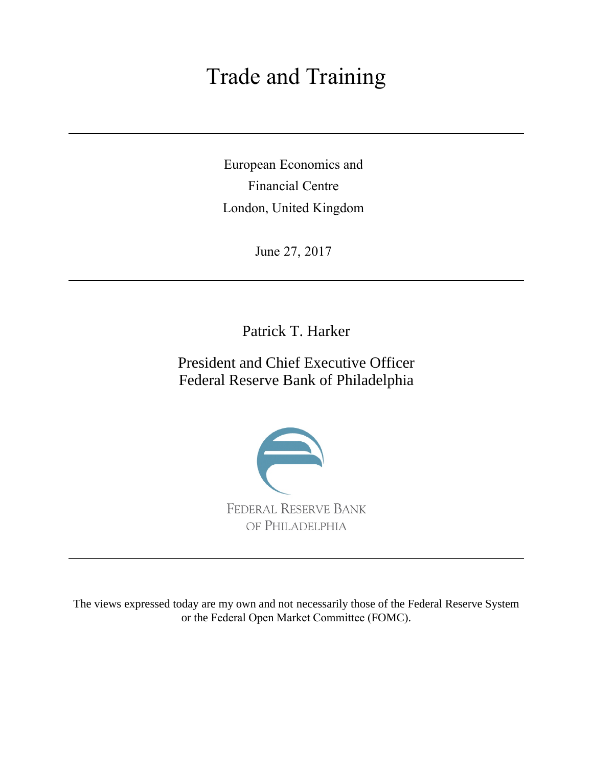# Trade and Training

European Economics and Financial Centre London, United Kingdom

June 27, 2017

Patrick T. Harker

President and Chief Executive Officer Federal Reserve Bank of Philadelphia



The views expressed today are my own and not necessarily those of the Federal Reserve System or the Federal Open Market Committee (FOMC).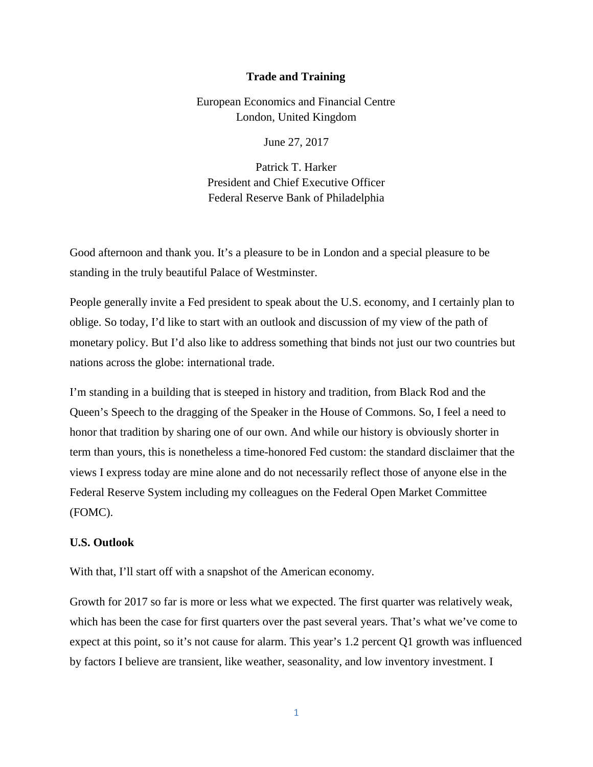### **Trade and Training**

European Economics and Financial Centre London, United Kingdom

June 27, 2017

Patrick T. Harker President and Chief Executive Officer Federal Reserve Bank of Philadelphia

Good afternoon and thank you. It's a pleasure to be in London and a special pleasure to be standing in the truly beautiful Palace of Westminster.

People generally invite a Fed president to speak about the U.S. economy, and I certainly plan to oblige. So today, I'd like to start with an outlook and discussion of my view of the path of monetary policy. But I'd also like to address something that binds not just our two countries but nations across the globe: international trade.

I'm standing in a building that is steeped in history and tradition, from Black Rod and the Queen's Speech to the dragging of the Speaker in the House of Commons. So, I feel a need to honor that tradition by sharing one of our own. And while our history is obviously shorter in term than yours, this is nonetheless a time-honored Fed custom: the standard disclaimer that the views I express today are mine alone and do not necessarily reflect those of anyone else in the Federal Reserve System including my colleagues on the Federal Open Market Committee (FOMC).

# **U.S. Outlook**

With that, I'll start off with a snapshot of the American economy.

Growth for 2017 so far is more or less what we expected. The first quarter was relatively weak, which has been the case for first quarters over the past several years. That's what we've come to expect at this point, so it's not cause for alarm. This year's 1.2 percent Q1 growth was influenced by factors I believe are transient, like weather, seasonality, and low inventory investment. I

1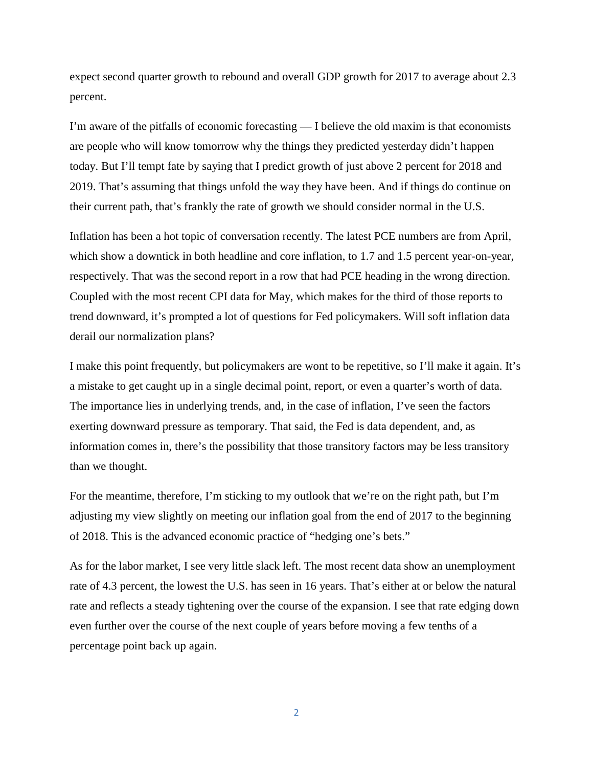expect second quarter growth to rebound and overall GDP growth for 2017 to average about 2.3 percent.

I'm aware of the pitfalls of economic forecasting — I believe the old maxim is that economists are people who will know tomorrow why the things they predicted yesterday didn't happen today. But I'll tempt fate by saying that I predict growth of just above 2 percent for 2018 and 2019. That's assuming that things unfold the way they have been. And if things do continue on their current path, that's frankly the rate of growth we should consider normal in the U.S.

Inflation has been a hot topic of conversation recently. The latest PCE numbers are from April, which show a downtick in both headline and core inflation, to 1.7 and 1.5 percent year-on-year, respectively. That was the second report in a row that had PCE heading in the wrong direction. Coupled with the most recent CPI data for May, which makes for the third of those reports to trend downward, it's prompted a lot of questions for Fed policymakers. Will soft inflation data derail our normalization plans?

I make this point frequently, but policymakers are wont to be repetitive, so I'll make it again. It's a mistake to get caught up in a single decimal point, report, or even a quarter's worth of data. The importance lies in underlying trends, and, in the case of inflation, I've seen the factors exerting downward pressure as temporary. That said, the Fed is data dependent, and, as information comes in, there's the possibility that those transitory factors may be less transitory than we thought.

For the meantime, therefore, I'm sticking to my outlook that we're on the right path, but I'm adjusting my view slightly on meeting our inflation goal from the end of 2017 to the beginning of 2018. This is the advanced economic practice of "hedging one's bets."

As for the labor market, I see very little slack left. The most recent data show an unemployment rate of 4.3 percent, the lowest the U.S. has seen in 16 years. That's either at or below the natural rate and reflects a steady tightening over the course of the expansion. I see that rate edging down even further over the course of the next couple of years before moving a few tenths of a percentage point back up again.

2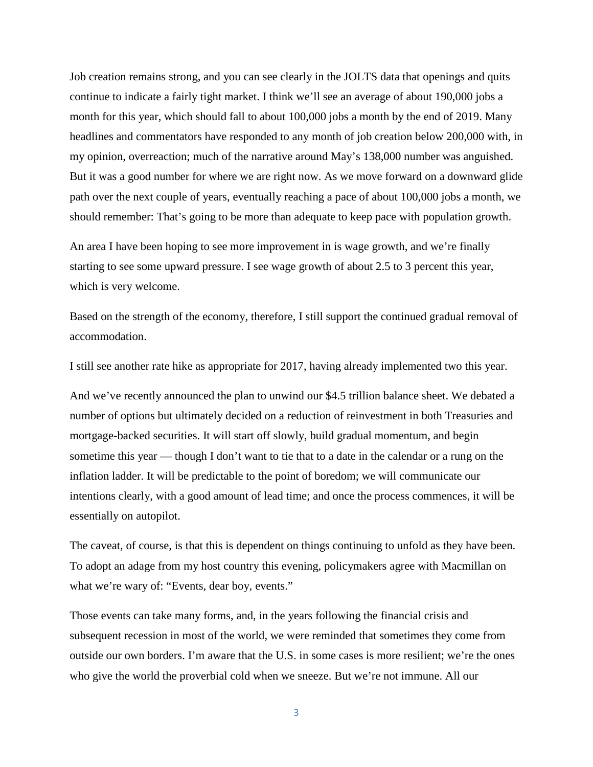Job creation remains strong, and you can see clearly in the JOLTS data that openings and quits continue to indicate a fairly tight market. I think we'll see an average of about 190,000 jobs a month for this year, which should fall to about 100,000 jobs a month by the end of 2019. Many headlines and commentators have responded to any month of job creation below 200,000 with, in my opinion, overreaction; much of the narrative around May's 138,000 number was anguished. But it was a good number for where we are right now. As we move forward on a downward glide path over the next couple of years, eventually reaching a pace of about 100,000 jobs a month, we should remember: That's going to be more than adequate to keep pace with population growth.

An area I have been hoping to see more improvement in is wage growth, and we're finally starting to see some upward pressure. I see wage growth of about 2.5 to 3 percent this year, which is very welcome.

Based on the strength of the economy, therefore, I still support the continued gradual removal of accommodation.

I still see another rate hike as appropriate for 2017, having already implemented two this year.

And we've recently announced the plan to unwind our \$4.5 trillion balance sheet. We debated a number of options but ultimately decided on a reduction of reinvestment in both Treasuries and mortgage-backed securities. It will start off slowly, build gradual momentum, and begin sometime this year — though I don't want to tie that to a date in the calendar or a rung on the inflation ladder. It will be predictable to the point of boredom; we will communicate our intentions clearly, with a good amount of lead time; and once the process commences, it will be essentially on autopilot.

The caveat, of course, is that this is dependent on things continuing to unfold as they have been. To adopt an adage from my host country this evening, policymakers agree with Macmillan on what we're wary of: "Events, dear boy, events."

Those events can take many forms, and, in the years following the financial crisis and subsequent recession in most of the world, we were reminded that sometimes they come from outside our own borders. I'm aware that the U.S. in some cases is more resilient; we're the ones who give the world the proverbial cold when we sneeze. But we're not immune. All our

3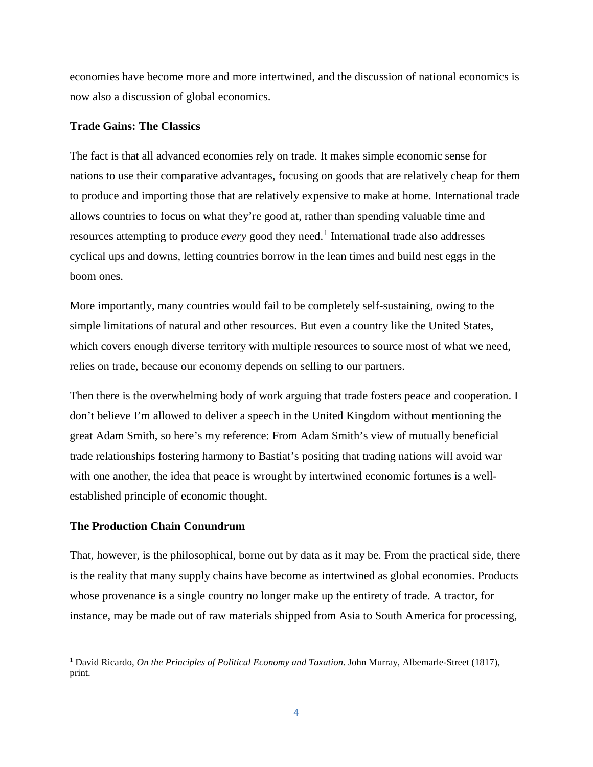economies have become more and more intertwined, and the discussion of national economics is now also a discussion of global economics.

# **Trade Gains: The Classics**

The fact is that all advanced economies rely on trade. It makes simple economic sense for nations to use their comparative advantages, focusing on goods that are relatively cheap for them to produce and importing those that are relatively expensive to make at home. International trade allows countries to focus on what they're good at, rather than spending valuable time and resources attempting to produce *every* good they need.<sup>[1](#page-4-0)</sup> International trade also addresses cyclical ups and downs, letting countries borrow in the lean times and build nest eggs in the boom ones.

More importantly, many countries would fail to be completely self-sustaining, owing to the simple limitations of natural and other resources. But even a country like the United States, which covers enough diverse territory with multiple resources to source most of what we need, relies on trade, because our economy depends on selling to our partners.

Then there is the overwhelming body of work arguing that trade fosters peace and cooperation. I don't believe I'm allowed to deliver a speech in the United Kingdom without mentioning the great Adam Smith, so here's my reference: From Adam Smith's view of mutually beneficial trade relationships fostering harmony to Bastiat's positing that trading nations will avoid war with one another, the idea that peace is wrought by intertwined economic fortunes is a wellestablished principle of economic thought.

# **The Production Chain Conundrum**

 $\overline{\phantom{a}}$ 

That, however, is the philosophical, borne out by data as it may be. From the practical side, there is the reality that many supply chains have become as intertwined as global economies. Products whose provenance is a single country no longer make up the entirety of trade. A tractor, for instance, may be made out of raw materials shipped from Asia to South America for processing,

<span id="page-4-0"></span><sup>1</sup> David Ricardo, *On the Principles of Political Economy and Taxation*. John Murray, Albemarle-Street (1817), print.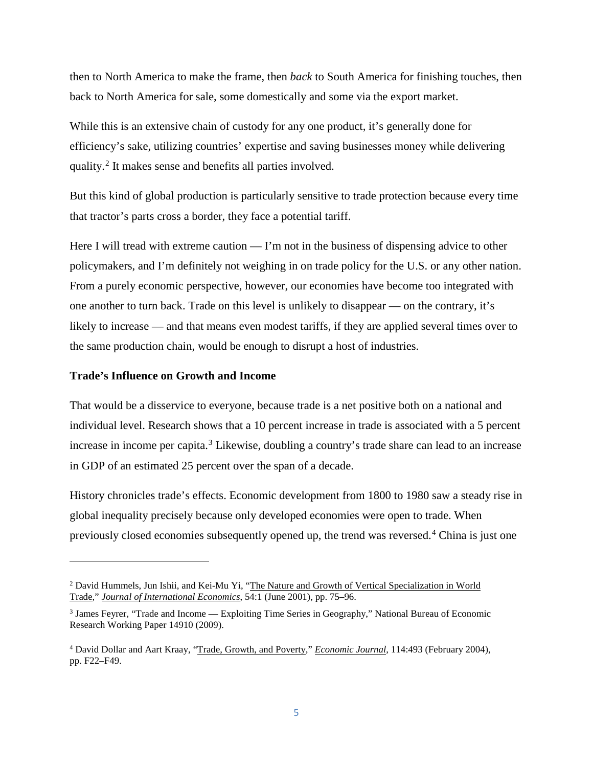then to North America to make the frame, then *back* to South America for finishing touches, then back to North America for sale, some domestically and some via the export market.

While this is an extensive chain of custody for any one product, it's generally done for efficiency's sake, utilizing countries' expertise and saving businesses money while delivering quality.[2](#page-5-0) It makes sense and benefits all parties involved.

But this kind of global production is particularly sensitive to trade protection because every time that tractor's parts cross a border, they face a potential tariff.

Here I will tread with extreme caution  $-$  I'm not in the business of dispensing advice to other policymakers, and I'm definitely not weighing in on trade policy for the U.S. or any other nation. From a purely economic perspective, however, our economies have become too integrated with one another to turn back. Trade on this level is unlikely to disappear — on the contrary, it's likely to increase — and that means even modest tariffs, if they are applied several times over to the same production chain, would be enough to disrupt a host of industries.

## **Trade's Influence on Growth and Income**

l

That would be a disservice to everyone, because trade is a net positive both on a national and individual level. Research shows that a 10 percent increase in trade is associated with a 5 percent increase in income per capita.<sup>[3](#page-5-1)</sup> Likewise, doubling a country's trade share can lead to an increase in GDP of an estimated 25 percent over the span of a decade.

History chronicles trade's effects. Economic development from 1800 to 1980 saw a steady rise in global inequality precisely because only developed economies were open to trade. When previously closed economies subsequently opened up, the trend was reversed.[4](#page-5-2) China is just one

<span id="page-5-0"></span><sup>2</sup> David Hummels, Jun Ishii, and Kei-Mu Yi, ["The Nature and Growth of Vertical Specialization in World](https://ideas.repec.org/a/eee/inecon/v54y2001i1p75-96.html)  [Trade,"](https://ideas.repec.org/a/eee/inecon/v54y2001i1p75-96.html) *[Journal of International Economics](https://ideas.repec.org/s/eee/inecon.html)*, 54:1 (June 2001), pp. 75–96.

<span id="page-5-1"></span><sup>3</sup> James Feyrer, "Trade and Income — Exploiting Time Series in Geography," National Bureau of Economic Research Working Paper 14910 (2009).

<span id="page-5-2"></span><sup>4</sup> David Dollar and Aart Kraay, ["Trade, Growth, and Poverty,](https://ideas.repec.org/a/ecj/econjl/v114y2004i493pf22-f49.html)" *[Economic Journal](https://ideas.repec.org/s/ecj/econjl.html)*, 114:493 (February 2004), pp. F22–F49.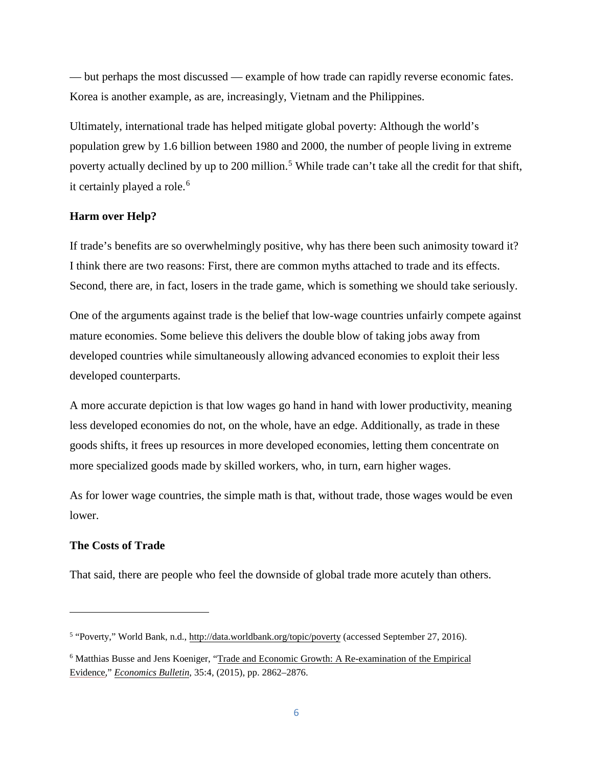— but perhaps the most discussed — example of how trade can rapidly reverse economic fates. Korea is another example, as are, increasingly, Vietnam and the Philippines.

Ultimately, international trade has helped mitigate global poverty: Although the world's population grew by 1.6 billion between 1980 and 2000, the number of people living in extreme poverty actually declined by up to 200 million.<sup>[5](#page-6-0)</sup> While trade can't take all the credit for that shift, it certainly played a role.<sup>[6](#page-6-1)</sup>

# **Harm over Help?**

If trade's benefits are so overwhelmingly positive, why has there been such animosity toward it? I think there are two reasons: First, there are common myths attached to trade and its effects. Second, there are, in fact, losers in the trade game, which is something we should take seriously.

One of the arguments against trade is the belief that low-wage countries unfairly compete against mature economies. Some believe this delivers the double blow of taking jobs away from developed countries while simultaneously allowing advanced economies to exploit their less developed counterparts.

A more accurate depiction is that low wages go hand in hand with lower productivity, meaning less developed economies do not, on the whole, have an edge. Additionally, as trade in these goods shifts, it frees up resources in more developed economies, letting them concentrate on more specialized goods made by skilled workers, who, in turn, earn higher wages.

As for lower wage countries, the simple math is that, without trade, those wages would be even lower.

# **The Costs of Trade**

That said, there are people who feel the downside of global trade more acutely than others.

<span id="page-6-0"></span><sup>&</sup>lt;sup>5</sup> "Poverty," World Bank, n.d., <http://data.worldbank.org/topic/poverty> (accessed September 27, 2016).

<span id="page-6-1"></span><sup>6</sup> Matthias Busse and Jens Koeniger, ["Trade and Economic Growth:](https://ideas.repec.org/a/ebl/ecbull/eb-15-00066.html) A Re-examination of the Empirical [Evidence,](https://ideas.repec.org/a/ebl/ecbull/eb-15-00066.html)" *[Economics Bulletin](https://ideas.repec.org/s/ebl/ecbull.html)*, 35:4, (2015), pp. 2862–2876.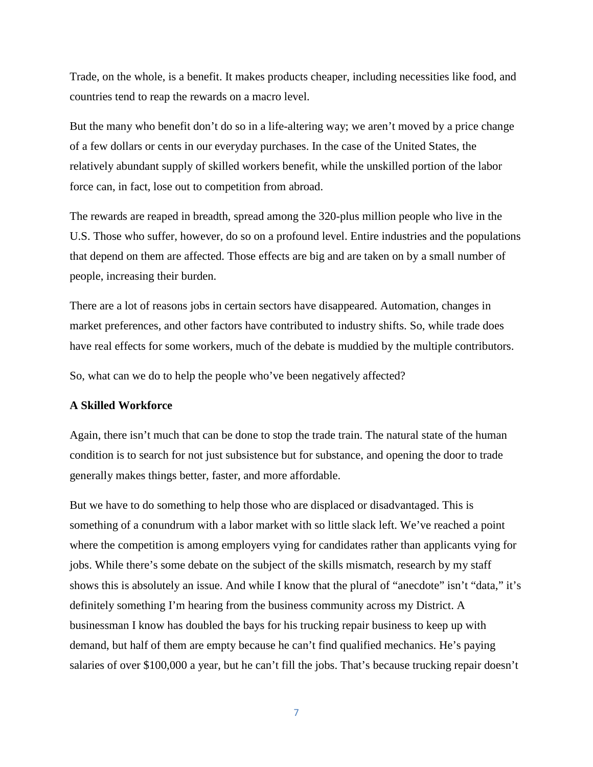Trade, on the whole, is a benefit. It makes products cheaper, including necessities like food, and countries tend to reap the rewards on a macro level.

But the many who benefit don't do so in a life-altering way; we aren't moved by a price change of a few dollars or cents in our everyday purchases. In the case of the United States, the relatively abundant supply of skilled workers benefit, while the unskilled portion of the labor force can, in fact, lose out to competition from abroad.

The rewards are reaped in breadth, spread among the 320-plus million people who live in the U.S. Those who suffer, however, do so on a profound level. Entire industries and the populations that depend on them are affected. Those effects are big and are taken on by a small number of people, increasing their burden.

There are a lot of reasons jobs in certain sectors have disappeared. Automation, changes in market preferences, and other factors have contributed to industry shifts. So, while trade does have real effects for some workers, much of the debate is muddied by the multiple contributors.

So, what can we do to help the people who've been negatively affected?

### **A Skilled Workforce**

Again, there isn't much that can be done to stop the trade train. The natural state of the human condition is to search for not just subsistence but for substance, and opening the door to trade generally makes things better, faster, and more affordable.

But we have to do something to help those who are displaced or disadvantaged. This is something of a conundrum with a labor market with so little slack left. We've reached a point where the competition is among employers vying for candidates rather than applicants vying for jobs. While there's some debate on the subject of the skills mismatch, research by my staff shows this is absolutely an issue. And while I know that the plural of "anecdote" isn't "data," it's definitely something I'm hearing from the business community across my District. A businessman I know has doubled the bays for his trucking repair business to keep up with demand, but half of them are empty because he can't find qualified mechanics. He's paying salaries of over \$100,000 a year, but he can't fill the jobs. That's because trucking repair doesn't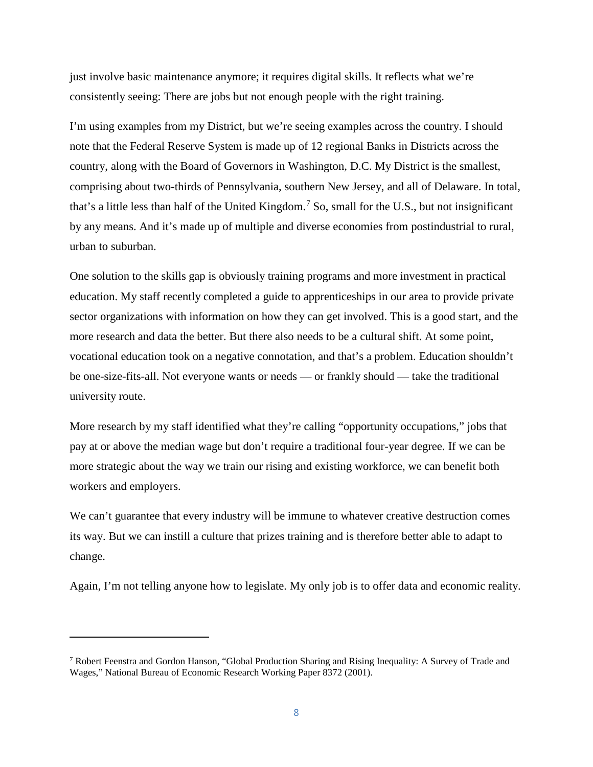just involve basic maintenance anymore; it requires digital skills. It reflects what we're consistently seeing: There are jobs but not enough people with the right training.

I'm using examples from my District, but we're seeing examples across the country. I should note that the Federal Reserve System is made up of 12 regional Banks in Districts across the country, along with the Board of Governors in Washington, D.C. My District is the smallest, comprising about two-thirds of Pennsylvania, southern New Jersey, and all of Delaware. In total, that's a little less than half of the United Kingdom.[7](#page-8-0) So, small for the U.S., but not insignificant by any means. And it's made up of multiple and diverse economies from postindustrial to rural, urban to suburban.

One solution to the skills gap is obviously training programs and more investment in practical education. My staff recently completed a guide to apprenticeships in our area to provide private sector organizations with information on how they can get involved. This is a good start, and the more research and data the better. But there also needs to be a cultural shift. At some point, vocational education took on a negative connotation, and that's a problem. Education shouldn't be one-size-fits-all. Not everyone wants or needs — or frankly should — take the traditional university route.

More research by my staff identified what they're calling "opportunity occupations," jobs that pay at or above the median wage but don't require a traditional four-year degree. If we can be more strategic about the way we train our rising and existing workforce, we can benefit both workers and employers.

We can't guarantee that every industry will be immune to whatever creative destruction comes its way. But we can instill a culture that prizes training and is therefore better able to adapt to change.

Again, I'm not telling anyone how to legislate. My only job is to offer data and economic reality.

 $\overline{\phantom{a}}$ 

<span id="page-8-0"></span><sup>7</sup> Robert Feenstra and Gordon Hanson, "Global Production Sharing and Rising Inequality: A Survey of Trade and Wages," National Bureau of Economic Research Working Paper 8372 (2001).